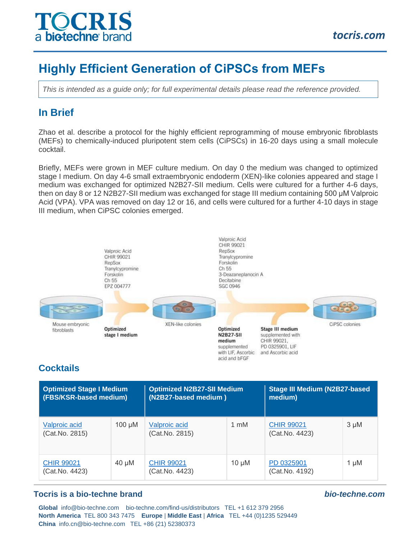

# **Highly Efficient Generation of CiPSCs from MEFs**

*This is intended as a guide only; for full experimental details please read the reference provided.*

## **In Brief**

Zhao et al. describe a protocol for the highly efficient reprogramming of mouse embryonic fibroblasts (MEFs) to chemically-induced pluripotent stem cells (CiPSCs) in 16-20 days using a small molecule cocktail.

Briefly, MEFs were grown in MEF culture medium. On day 0 the medium was changed to optimized stage I medium. On day 4-6 small extraembryonic endoderm (XEN)-like colonies appeared and stage I medium was exchanged for optimized N2B27-SII medium. Cells were cultured for a further 4-6 days, then on day 8 or 12 N2B27-SII medium was exchanged for stage III medium containing 500 μM Valproic Acid (VPA). VPA was removed on day 12 or 16, and cells were cultured for a further 4-10 days in stage III medium, when CiPSC colonies emerged.



## **Cocktails**

| <b>Optimized Stage I Medium</b><br>(FBS/KSR-based medium) |             | <b>Optimized N2B27-SII Medium</b><br>(N2B27-based medium) |            | <b>Stage III Medium (N2B27-based</b><br>medium) |           |
|-----------------------------------------------------------|-------------|-----------------------------------------------------------|------------|-------------------------------------------------|-----------|
| Valproic acid<br>(Cat.No. 2815)                           | $100 \mu M$ | Valproic acid<br>(Cat.No. 2815)                           | 1 mM       | <b>CHIR 99021</b><br>(Cat.No. 4423)             | $3 \mu M$ |
| <b>CHIR 99021</b><br>(Cat.No. 4423)                       | $40 \mu M$  | <b>CHIR 99021</b><br>(Cat.No. 4423)                       | $10 \mu M$ | PD 0325901<br>(Cat.No. 4192)                    | $1 \mu M$ |

#### **Tocris is a bio-techne brand** *bio-techne.com*

**Global** info@bio-techne.com bio-techne.com/find-us/distributors TEL +1 612 379 2956 **North America** TEL 800 343 7475 **Europe** | **Middle East** | **Africa** TEL +44 (0)1235 529449 **China** info.cn@bio-techne.com TEL +86 (21) 52380373